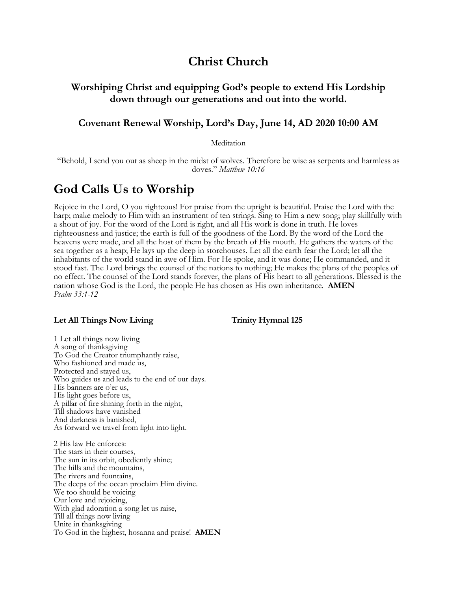# **Christ Church**

# **Worshiping Christ and equipping God's people to extend His Lordship down through our generations and out into the world.**

# **Covenant Renewal Worship, Lord's Day, June 14, AD 2020 10:00 AM**

Meditation

"Behold, I send you out as sheep in the midst of wolves. Therefore be wise as serpents and harmless as doves." *Matthew 10:16*

# **God Calls Us to Worship**

Rejoice in the Lord, O you righteous! For praise from the upright is beautiful. Praise the Lord with the harp; make melody to Him with an instrument of ten strings. Sing to Him a new song; play skillfully with a shout of joy. For the word of the Lord is right, and all His work is done in truth. He loves righteousness and justice; the earth is full of the goodness of the Lord. By the word of the Lord the heavens were made, and all the host of them by the breath of His mouth. He gathers the waters of the sea together as a heap; He lays up the deep in storehouses. Let all the earth fear the Lord; let all the inhabitants of the world stand in awe of Him. For He spoke, and it was done; He commanded, and it stood fast. The Lord brings the counsel of the nations to nothing; He makes the plans of the peoples of no effect. The counsel of the Lord stands forever, the plans of His heart to all generations. Blessed is the nation whose God is the Lord, the people He has chosen as His own inheritance. **AMEN** *Psalm 33:1-12*

## Let All Things Now Living Trinity Hymnal 125

1 Let all things now living A song of thanksgiving To God the Creator triumphantly raise, Who fashioned and made us, Protected and stayed us, Who guides us and leads to the end of our days. His banners are o'er us, His light goes before us, A pillar of fire shining forth in the night, Till shadows have vanished And darkness is banished, As forward we travel from light into light.

2 His law He enforces: The stars in their courses, The sun in its orbit, obediently shine; The hills and the mountains, The rivers and fountains, The deeps of the ocean proclaim Him divine. We too should be voicing Our love and rejoicing, With glad adoration a song let us raise, Till all things now living Unite in thanksgiving To God in the highest, hosanna and praise! **AMEN**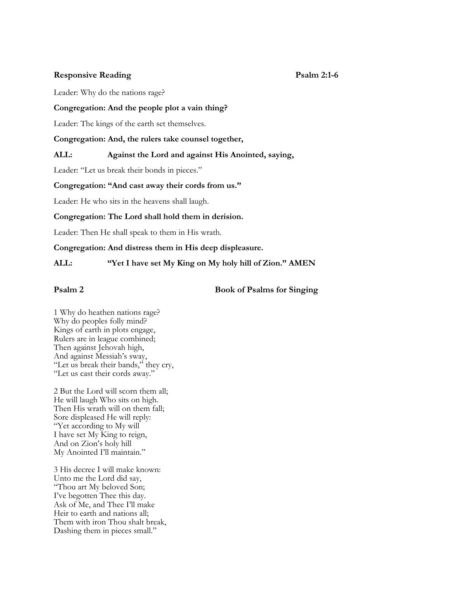# **Responsive Reading Psalm 2:1-6**

Leader: Why do the nations rage?

## **Congregation: And the people plot a vain thing?**

Leader: The kings of the earth set themselves.

**Congregation: And, the rulers take counsel together,**

# **ALL: Against the Lord and against His Anointed, saying,**

Leader: "Let us break their bonds in pieces."

## **Congregation: "And cast away their cords from us."**

Leader: He who sits in the heavens shall laugh.

# **Congregation: The Lord shall hold them in derision.**

Leader: Then He shall speak to them in His wrath.

## **Congregation: And distress them in His deep displeasure.**

**ALL: "Yet I have set My King on My holy hill of Zion." AMEN**

**Psalm 2** Book of Psalms for Singing

1 Why do heathen nations rage? Why do peoples folly mind? Kings of earth in plots engage, Rulers are in league combined; Then against Jehovah high, And against Messiah's sway, "Let us break their bands," they cry, "Let us cast their cords away."

2 But the Lord will scorn them all; He will laugh Who sits on high. Then His wrath will on them fall; Sore displeased He will reply: "Yet according to My will I have set My King to reign, And on Zion's holy hill My Anointed I'll maintain."

3 His decree I will make known: Unto me the Lord did say, "Thou art My beloved Son; I've begotten Thee this day. Ask of Me, and Thee I'll make Heir to earth and nations all; Them with iron Thou shalt break, Dashing them in pieces small."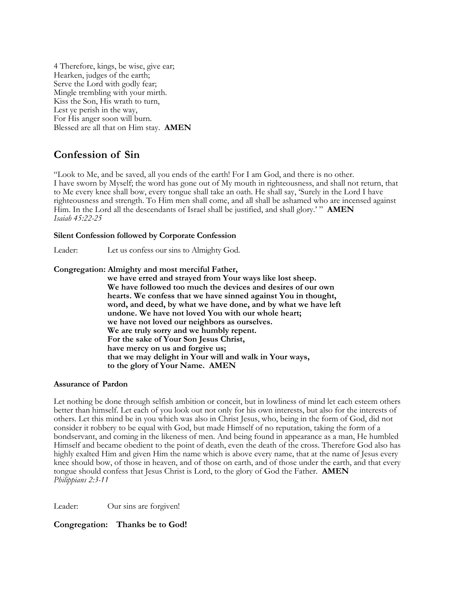4 Therefore, kings, be wise, give ear; Hearken, judges of the earth; Serve the Lord with godly fear; Mingle trembling with your mirth. Kiss the Son, His wrath to turn, Lest ye perish in the way, For His anger soon will burn. Blessed are all that on Him stay. **AMEN**

# **Confession of Sin**

"Look to Me, and be saved, all you ends of the earth! For I am God, and there is no other. I have sworn by Myself; the word has gone out of My mouth in righteousness, and shall not return, that to Me every knee shall bow, every tongue shall take an oath. He shall say, 'Surely in the Lord I have righteousness and strength. To Him men shall come, and all shall be ashamed who are incensed against Him. In the Lord all the descendants of Israel shall be justified, and shall glory.' " **AMEN** *Isaiah 45:22-25*

# **Silent Confession followed by Corporate Confession**

Leader: Let us confess our sins to Almighty God.

# **Congregation: Almighty and most merciful Father,**

**we have erred and strayed from Your ways like lost sheep. We have followed too much the devices and desires of our own hearts. We confess that we have sinned against You in thought, word, and deed, by what we have done, and by what we have left undone. We have not loved You with our whole heart; we have not loved our neighbors as ourselves. We are truly sorry and we humbly repent. For the sake of Your Son Jesus Christ, have mercy on us and forgive us; that we may delight in Your will and walk in Your ways, to the glory of Your Name. AMEN**

# **Assurance of Pardon**

Let nothing be done through selfish ambition or conceit, but in lowliness of mind let each esteem others better than himself. Let each of you look out not only for his own interests, but also for the interests of others. Let this mind be in you which was also in Christ Jesus, who, being in the form of God, did not consider it robbery to be equal with God, but made Himself of no reputation, taking the form of a bondservant, and coming in the likeness of men. And being found in appearance as a man, He humbled Himself and became obedient to the point of death, even the death of the cross. Therefore God also has highly exalted Him and given Him the name which is above every name, that at the name of Jesus every knee should bow, of those in heaven, and of those on earth, and of those under the earth, and that every tongue should confess that Jesus Christ is Lord, to the glory of God the Father. **AMEN** *Philippians 2:3-11*

Leader: Our sins are forgiven!

# **Congregation: Thanks be to God!**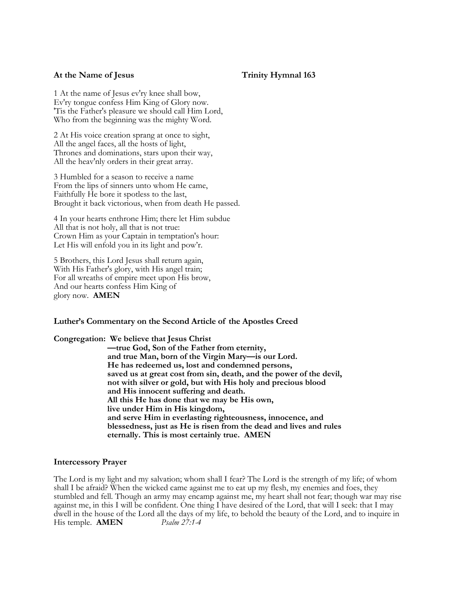# At the Name of Jesus Trinity Hymnal 163

1 At the name of Jesus ev'ry knee shall bow, Ev'ry tongue confess Him King of Glory now. 'Tis the Father's pleasure we should call Him Lord, Who from the beginning was the mighty Word.

2 At His voice creation sprang at once to sight, All the angel faces, all the hosts of light, Thrones and dominations, stars upon their way, All the heav'nly orders in their great array.

3 Humbled for a season to receive a name From the lips of sinners unto whom He came, Faithfully He bore it spotless to the last, Brought it back victorious, when from death He passed.

4 In your hearts enthrone Him; there let Him subdue All that is not holy, all that is not true: Crown Him as your Captain in temptation's hour: Let His will enfold you in its light and pow'r.

5 Brothers, this Lord Jesus shall return again, With His Father's glory, with His angel train; For all wreaths of empire meet upon His brow, And our hearts confess Him King of glory now. **AMEN**

## **Luther's Commentary on the Second Article of the Apostles Creed**

**Congregation: We believe that Jesus Christ —true God, Son of the Father from eternity, and true Man, born of the Virgin Mary—is our Lord. He has redeemed us, lost and condemned persons, saved us at great cost from sin, death, and the power of the devil, not with silver or gold, but with His holy and precious blood and His innocent suffering and death. All this He has done that we may be His own, live under Him in His kingdom, and serve Him in everlasting righteousness, innocence, and blessedness, just as He is risen from the dead and lives and rules eternally. This is most certainly true. AMEN**

## **Intercessory Prayer**

The Lord is my light and my salvation; whom shall I fear? The Lord is the strength of my life; of whom shall I be afraid? When the wicked came against me to eat up my flesh, my enemies and foes, they stumbled and fell. Though an army may encamp against me, my heart shall not fear; though war may rise against me, in this I will be confident. One thing I have desired of the Lord, that will I seek: that I may dwell in the house of the Lord all the days of my life, to behold the beauty of the Lord, and to inquire in<br>His temple. **AMEN**  $\frac{P\{Gamma\}}{2}$ His temple. **AMEN**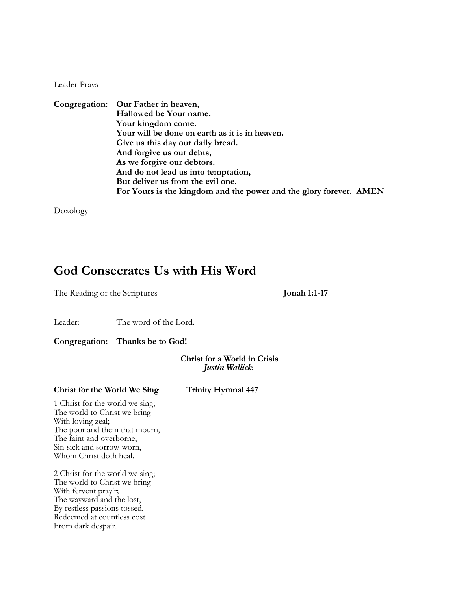Leader Prays

|  | Congregation: Our Father in heaven,                                |
|--|--------------------------------------------------------------------|
|  | Hallowed be Your name.                                             |
|  | Your kingdom come.                                                 |
|  | Your will be done on earth as it is in heaven.                     |
|  | Give us this day our daily bread.                                  |
|  | And forgive us our debts,                                          |
|  | As we forgive our debtors.                                         |
|  | And do not lead us into temptation,                                |
|  | But deliver us from the evil one.                                  |
|  | For Yours is the kingdom and the power and the glory forever. AMEN |

Doxology

# **God Consecrates Us with His Word**

The Reading of the Scriptures **Jonah 1:1-17**

Leader: The word of the Lord.

**Congregation: Thanks be to God!**

**Christ for a World in Crisis** *Justin Wallick*

# **Christ for the World We Sing Trinity Hymnal 447**

1 Christ for the world we sing; The world to Christ we bring With loving zeal; The poor and them that mourn, The faint and overborne, Sin-sick and sorrow-worn, Whom Christ doth heal.

2 Christ for the world we sing; The world to Christ we bring With fervent pray'r; The wayward and the lost, By restless passions tossed, Redeemed at countless cost From dark despair.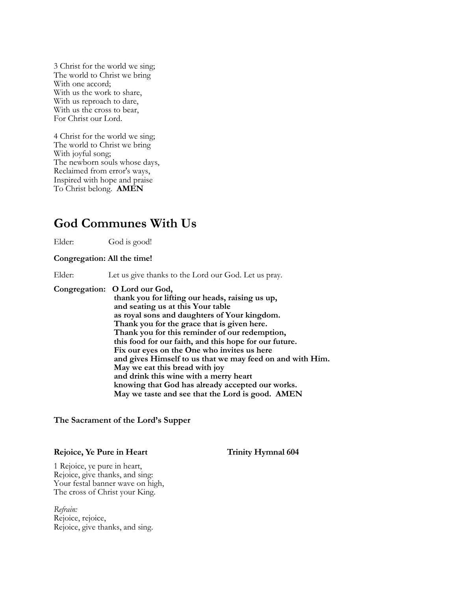3 Christ for the world we sing; The world to Christ we bring With one accord; With us the work to share, With us reproach to dare, With us the cross to bear, For Christ our Lord.

4 Christ for the world we sing; The world to Christ we bring With joyful song; The newborn souls whose days, Reclaimed from error's ways, Inspired with hope and praise To Christ belong. **AMEN**

# **God Communes With Us**

Elder: God is good!

## **Congregation: All the time!**

Elder: Let us give thanks to the Lord our God. Let us pray.

**Congregation: O Lord our God, thank you for lifting our heads, raising us up, and seating us at this Your table as royal sons and daughters of Your kingdom. Thank you for the grace that is given here. Thank you for this reminder of our redemption, this food for our faith, and this hope for our future. Fix our eyes on the One who invites us here and gives Himself to us that we may feed on and with Him. May we eat this bread with joy and drink this wine with a merry heart knowing that God has already accepted our works. May we taste and see that the Lord is good. AMEN**

## **The Sacrament of the Lord's Supper**

## **Rejoice, Ye Pure in Heart Trinity Hymnal 604**

1 Rejoice, ye pure in heart, Rejoice, give thanks, and sing: Your festal banner wave on high, The cross of Christ your King.

*Refrain:* Rejoice, rejoice, Rejoice, give thanks, and sing.